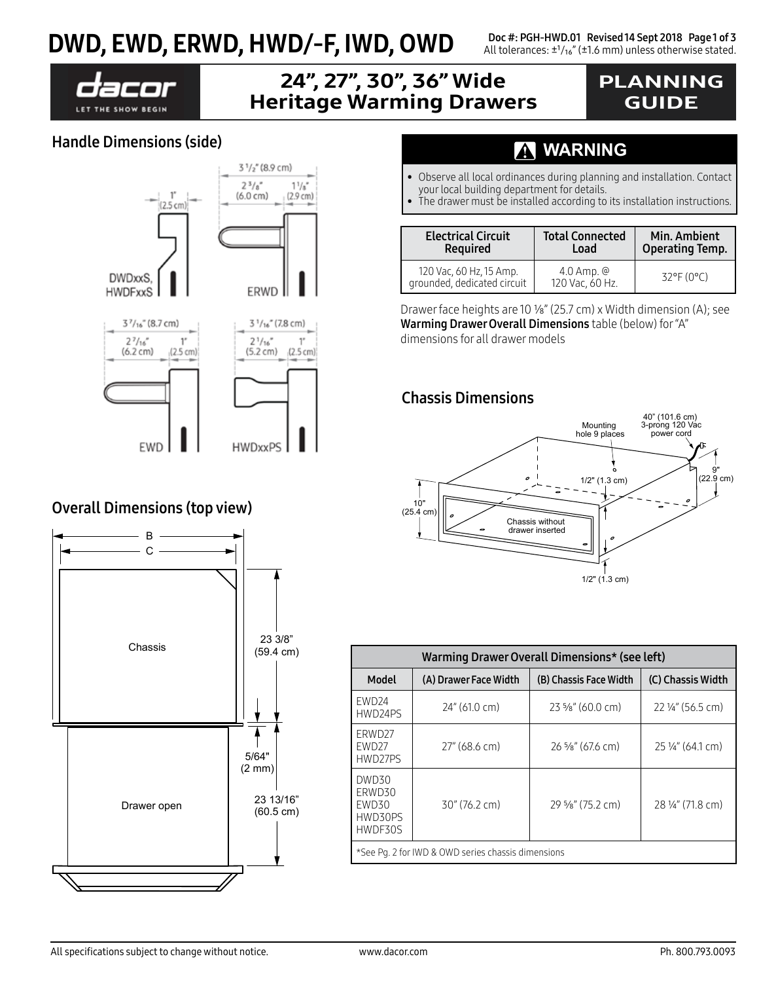## $\textbf{DWD}, \textbf{EWD}, \textbf{ERWD}, \textbf{HWD}\text{/}-\textbf{F}, \textbf{IWD}, \textbf{OWD} \quad \text{DUC #: PGH-HWD.01 Review}$ <br>All tolerances: ±1/ıs" (±1.6 mm) unless otherwise stated.



## 24", 27", 30", 36" Wide Heritage Warming Drawers

## PLANNING GUIDE

### Handle Dimensions (side)



**HWDxxPS** EWD

### Overall Dimensions (top view)



## **WARNING**

- Observe all local ordinances during planning and installation. Contact your local building department for details.
- The drawer must be installed according to its installation instructions.

| <b>Electrical Circuit</b>                              | <b>Total Connected</b>            | Min. Ambient           |  |
|--------------------------------------------------------|-----------------------------------|------------------------|--|
| <b>Required</b>                                        | Load                              | <b>Operating Temp.</b> |  |
| 120 Vac, 60 Hz, 15 Amp.<br>grounded, dedicated circuit | $4.0$ Amp. $@$<br>120 Vac, 60 Hz. | $32^{\circ}$ F (0°C)   |  |

Drawer face heights are 10 1/8" (25.7 cm) x Width dimension (A); see Warming Drawer Overall Dimensions table (below) for "A" dimensions for all drawer models

### Chassis Dimensions



| Warming Drawer Overall Dimensions* (see left)                   |                       |                             |                   |  |  |  |
|-----------------------------------------------------------------|-----------------------|-----------------------------|-------------------|--|--|--|
| Model                                                           | (A) Drawer Face Width | (B) Chassis Face Width      | (C) Chassis Width |  |  |  |
| EWD <sub>24</sub><br>HWD24PS                                    | 24" (61.0 cm)         | $23\frac{5}{8}$ " (60.0 cm) | 22 1/4" (56.5 cm) |  |  |  |
| ERWD27<br>EWD27<br>HWD27PS                                      | 27" (68.6 cm)         | 26 %" (67.6 cm)             | 25 1/4" (64.1 cm) |  |  |  |
| DWD30<br>ERWD30<br>30" (76.2 cm)<br>EWD30<br>HWD30PS<br>HWDF30S |                       | 29 %" (75.2 cm)             | 28 1/4" (71.8 cm) |  |  |  |
| *See Pq. 2 for IWD & OWD series chassis dimensions              |                       |                             |                   |  |  |  |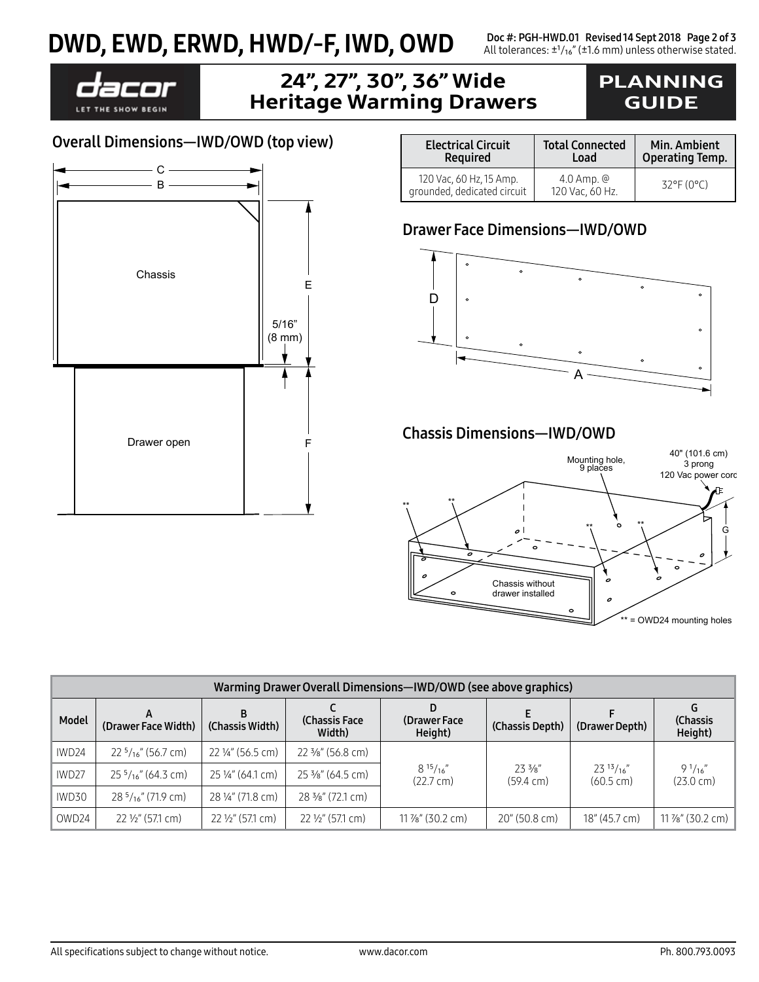# DWD, EWD, ERWD, HWD/-F, IWD, OWD<br>All tolerances: ±1/16" (±1.6 mm) unless otherwise stated.



### 24", 27", 30", 36" Wide Heritage Warming Drawers

## PLANNING GUIDE

| <b>Electrical Circuit</b>                              | <b>Total Connected</b>            | Min. Ambient              |  |
|--------------------------------------------------------|-----------------------------------|---------------------------|--|
| <b>Required</b>                                        | Load                              | <b>Operating Temp.</b>    |  |
| 120 Vac, 60 Hz, 15 Amp.<br>grounded, dedicated circuit | $4.0$ Amp. $@$<br>120 Vac, 60 Hz. | $32^{\circ}F(0^{\circ}C)$ |  |

#### Drawer Face Dimensions—IWD/OWD



#### Chassis Dimensions—IWD/OWD



| Warming Drawer Overall Dimensions-IWD/OWD (see above graphics) |                              |                             |                             |                                         |                                          |                                       |                                      |
|----------------------------------------------------------------|------------------------------|-----------------------------|-----------------------------|-----------------------------------------|------------------------------------------|---------------------------------------|--------------------------------------|
| Model                                                          | (Drawer Face Width)          | B<br>(Chassis Width)        | (Chassis Face)<br>Width)    | (Drawer Face<br>Height)                 | (Chassis Depth)                          | (Drawer Depth)                        | (Chassis<br>Height)                  |
| IWD24                                                          | $225/16''$ (56.7 cm)         | 22 1/4" (56.5 cm)           | 22 3/8" (56.8 cm)           | $8^{15}/_{16}$ "<br>$(22.7 \text{ cm})$ | $73.3\frac{1}{8}$<br>$(59.4 \text{ cm})$ | $23^{13}/16''$<br>$(60.5 \text{ cm})$ | $9^{1}/_{16}$<br>$(23.0 \text{ cm})$ |
| IWD <sub>27</sub>                                              | $25\frac{5}{16}$ " (64.3 cm) | 25 1/4" (64.1 cm)           | 25 3/8" (64.5 cm)           |                                         |                                          |                                       |                                      |
| IWD30                                                          | $285/16''$ (71.9 cm)         | 28 ¼" (71.8 cm)             | 28 3/8" (72.1 cm)           |                                         |                                          |                                       |                                      |
| OWD24                                                          | $22\frac{1}{2}$ (57.1 cm)    | $22\frac{1}{2}$ " (57.1 cm) | $22\frac{1}{2}$ " (57.1 cm) | $11\frac{7}{8}$ " (30.2 cm)             | $20''(50.8 \text{ cm})$                  | 18" (45.7 cm)                         | $11\%$ " (30.2 cm)                   |